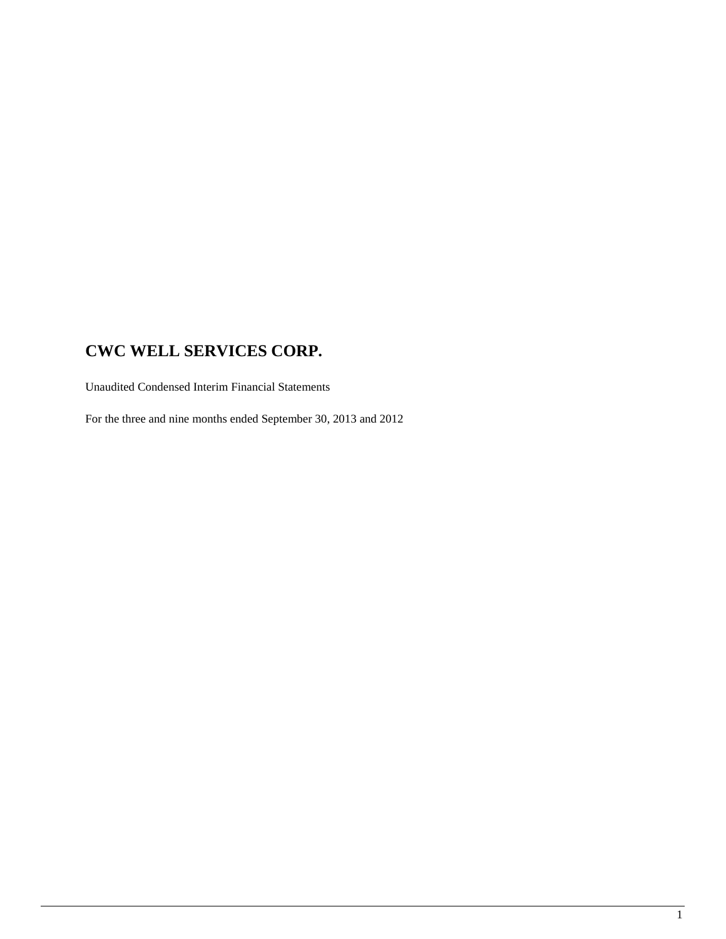Unaudited Condensed Interim Financial Statements

For the three and nine months ended September 30, 2013 and 2012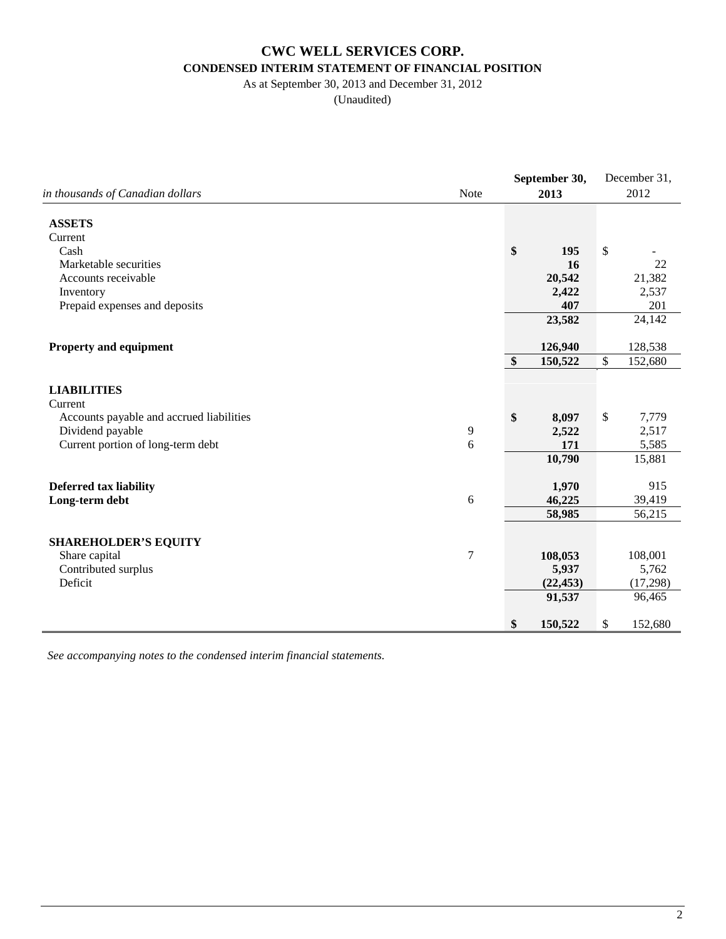# **CWC WELL SERVICES CORP. CONDENSED INTERIM STATEMENT OF FINANCIAL POSITION**

## As at September 30, 2013 and December 31, 2012

(Unaudited)

|                                              |        | September 30, |               | December 31, |
|----------------------------------------------|--------|---------------|---------------|--------------|
| in thousands of Canadian dollars             | Note   | 2013          |               | 2012         |
| <b>ASSETS</b>                                |        |               |               |              |
| Current                                      |        |               |               |              |
| Cash                                         |        | \$<br>195     | $\$$          |              |
| Marketable securities<br>Accounts receivable |        | 16<br>20,542  |               | 22<br>21,382 |
| Inventory                                    |        | 2,422         |               | 2,537        |
| Prepaid expenses and deposits                |        | 407           |               | 201          |
|                                              |        | 23,582        |               | 24,142       |
|                                              |        |               |               |              |
| <b>Property and equipment</b>                |        | 126,940       |               | 128,538      |
|                                              |        | \$<br>150,522 | $\mathcal{S}$ | 152,680      |
|                                              |        |               |               |              |
| <b>LIABILITIES</b>                           |        |               |               |              |
| Current                                      |        |               |               |              |
| Accounts payable and accrued liabilities     |        | \$<br>8,097   | $\$$          | 7,779        |
| Dividend payable                             | 9      | 2,522         |               | 2,517        |
| Current portion of long-term debt            | 6      | 171           |               | 5,585        |
|                                              |        | 10,790        |               | 15,881       |
|                                              |        |               |               |              |
| <b>Deferred tax liability</b>                |        | 1,970         |               | 915          |
| Long-term debt                               | 6      | 46,225        |               | 39,419       |
|                                              |        | 58,985        |               | 56,215       |
|                                              |        |               |               |              |
| <b>SHAREHOLDER'S EQUITY</b>                  |        |               |               |              |
| Share capital                                | $\tau$ | 108,053       |               | 108,001      |
| Contributed surplus                          |        | 5,937         |               | 5,762        |
| Deficit                                      |        | (22, 453)     |               | (17,298)     |
|                                              |        | 91,537        |               | 96,465       |
|                                              |        | \$<br>150,522 | \$            | 152,680      |
|                                              |        |               |               |              |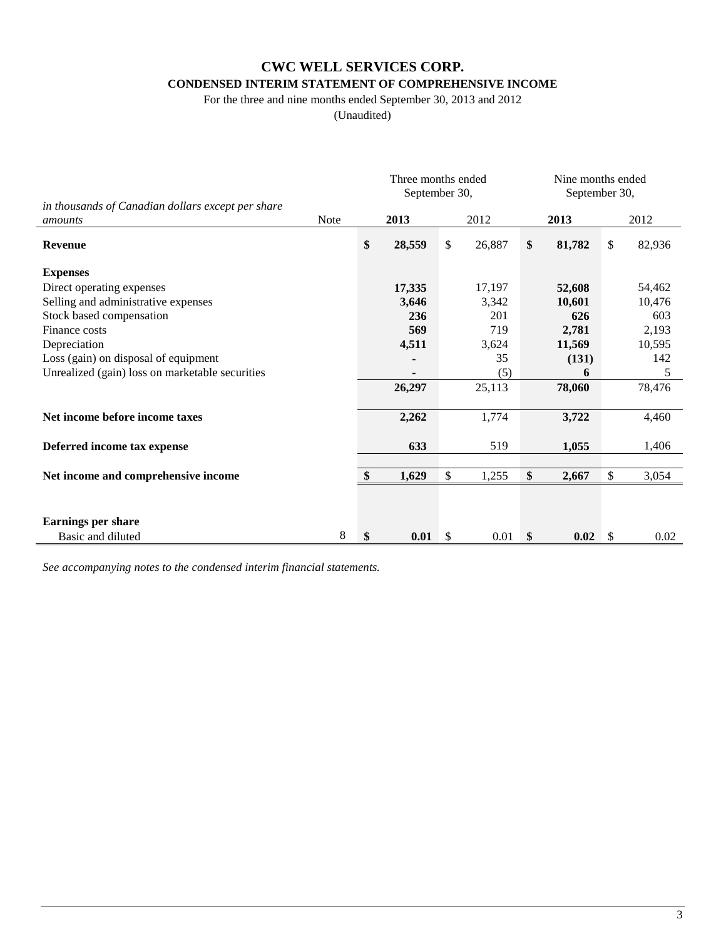### **CONDENSED INTERIM STATEMENT OF COMPREHENSIVE INCOME**

For the three and nine months ended September 30, 2013 and 2012

(Unaudited)

|                                                              |             | Three months ended<br>September 30, |              |        |               | Nine months ended<br>September 30, |    |        |
|--------------------------------------------------------------|-------------|-------------------------------------|--------------|--------|---------------|------------------------------------|----|--------|
| in thousands of Canadian dollars except per share<br>amounts | <b>Note</b> | 2013                                |              | 2012   |               | 2013                               |    | 2012   |
| <b>Revenue</b>                                               |             | \$<br>28,559                        | \$           | 26,887 | \$            | 81,782                             | \$ | 82,936 |
| <b>Expenses</b>                                              |             |                                     |              |        |               |                                    |    |        |
| Direct operating expenses                                    |             | 17,335                              |              | 17,197 |               | 52,608                             |    | 54,462 |
| Selling and administrative expenses                          |             | 3,646                               |              | 3,342  |               | 10,601                             |    | 10,476 |
| Stock based compensation                                     |             | 236                                 |              | 201    |               | 626                                |    | 603    |
| Finance costs                                                |             | 569                                 |              | 719    |               | 2,781                              |    | 2,193  |
| Depreciation                                                 |             | 4,511                               |              | 3,624  |               | 11,569                             |    | 10,595 |
| Loss (gain) on disposal of equipment                         |             |                                     |              | 35     |               | (131)                              |    | 142    |
| Unrealized (gain) loss on marketable securities              |             |                                     |              | (5)    |               | 6                                  |    | 5      |
|                                                              |             | 26,297                              |              | 25,113 |               | 78,060                             |    | 78,476 |
| Net income before income taxes                               |             | 2,262                               |              | 1,774  |               | 3,722                              |    | 4,460  |
| Deferred income tax expense                                  |             | 633                                 |              | 519    |               | 1,055                              |    | 1,406  |
| Net income and comprehensive income                          |             | \$<br>1,629                         | \$           | 1,255  | \$            | 2,667                              | \$ | 3,054  |
|                                                              |             |                                     |              |        |               |                                    |    |        |
| <b>Earnings per share</b>                                    |             |                                     |              |        |               |                                    |    |        |
| Basic and diluted                                            | 8           | \$<br>0.01                          | $\mathbb{S}$ | 0.01   | $\mathbf{\$}$ | 0.02                               | \$ | 0.02   |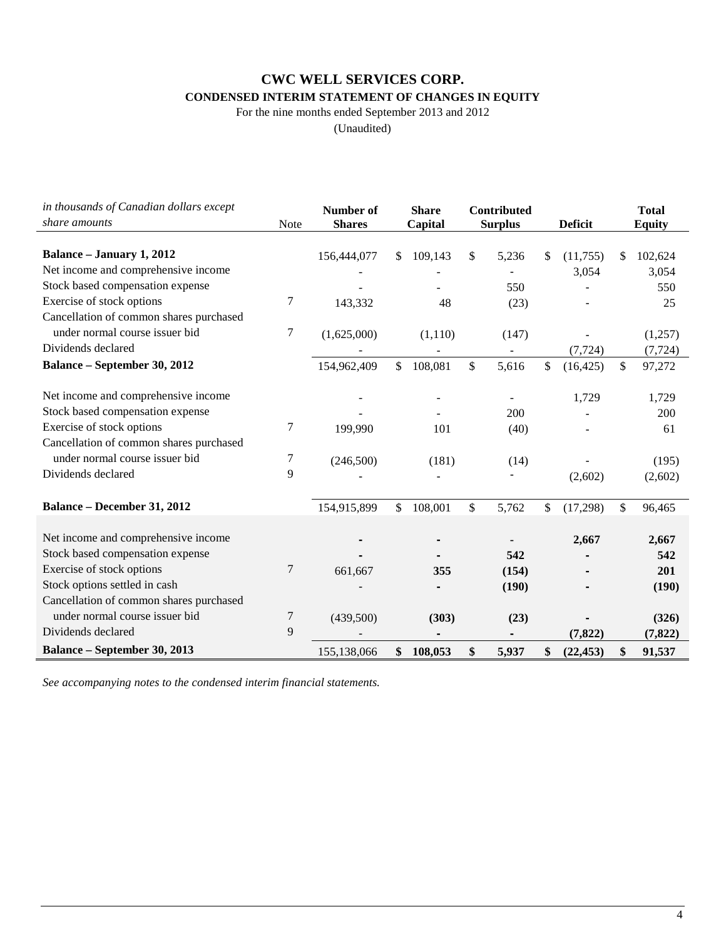## **CONDENSED INTERIM STATEMENT OF CHANGES IN EQUITY**

For the nine months ended September 2013 and 2012

(Unaudited)

| in thousands of Canadian dollars except<br>share amounts | Note | Number of<br><b>Shares</b> | <b>Share</b><br>Capital | <b>Contributed</b><br><b>Surplus</b> | <b>Deficit</b>  |     | <b>Total</b><br><b>Equity</b> |
|----------------------------------------------------------|------|----------------------------|-------------------------|--------------------------------------|-----------------|-----|-------------------------------|
|                                                          |      |                            |                         |                                      |                 |     |                               |
| <b>Balance - January 1, 2012</b>                         |      | 156,444,077                | \$<br>109,143           | \$<br>5,236                          | \$<br>(11,755)  | \$. | 102,624                       |
| Net income and comprehensive income                      |      |                            |                         |                                      | 3,054           |     | 3,054                         |
| Stock based compensation expense                         |      |                            |                         | 550                                  |                 |     | 550                           |
| Exercise of stock options                                | 7    | 143,332                    | 48                      | (23)                                 |                 |     | 25                            |
| Cancellation of common shares purchased                  |      |                            |                         |                                      |                 |     |                               |
| under normal course issuer bid                           | 7    | (1,625,000)                | (1,110)                 | (147)                                |                 |     | (1,257)                       |
| Dividends declared                                       |      |                            |                         |                                      | (7, 724)        |     | (7, 724)                      |
| <b>Balance - September 30, 2012</b>                      |      | 154,962,409                | \$<br>108,081           | \$<br>5,616                          | \$<br>(16, 425) | \$  | 97,272                        |
| Net income and comprehensive income                      |      |                            |                         |                                      | 1,729           |     | 1,729                         |
| Stock based compensation expense                         |      |                            |                         | 200                                  |                 |     | 200                           |
| Exercise of stock options                                | 7    | 199,990                    | 101                     | (40)                                 |                 |     | 61                            |
| Cancellation of common shares purchased                  |      |                            |                         |                                      |                 |     |                               |
| under normal course issuer bid                           | 7    | (246,500)                  | (181)                   | (14)                                 |                 |     | (195)                         |
| Dividends declared                                       | 9    |                            |                         |                                      | (2,602)         |     | (2,602)                       |
| <b>Balance - December 31, 2012</b>                       |      | 154,915,899                | \$<br>108,001           | \$<br>5,762                          | \$<br>(17,298)  | \$  | 96,465                        |
| Net income and comprehensive income                      |      |                            |                         |                                      |                 |     |                               |
| Stock based compensation expense                         |      |                            |                         |                                      | 2,667           |     | 2,667                         |
| Exercise of stock options                                | 7    |                            |                         | 542                                  |                 |     | 542<br>201                    |
| Stock options settled in cash                            |      | 661,667                    | 355                     | (154)                                |                 |     |                               |
| Cancellation of common shares purchased                  |      |                            |                         | (190)                                |                 |     | (190)                         |
| under normal course issuer bid                           |      |                            |                         |                                      |                 |     |                               |
|                                                          | 7    | (439,500)                  | (303)                   | (23)                                 |                 |     | (326)                         |
| Dividends declared                                       | 9    |                            |                         |                                      | (7, 822)        |     | (7, 822)                      |
| <b>Balance - September 30, 2013</b>                      |      | 155,138,066                | \$<br>108,053           | \$<br>5,937                          | \$<br>(22, 453) | \$  | 91,537                        |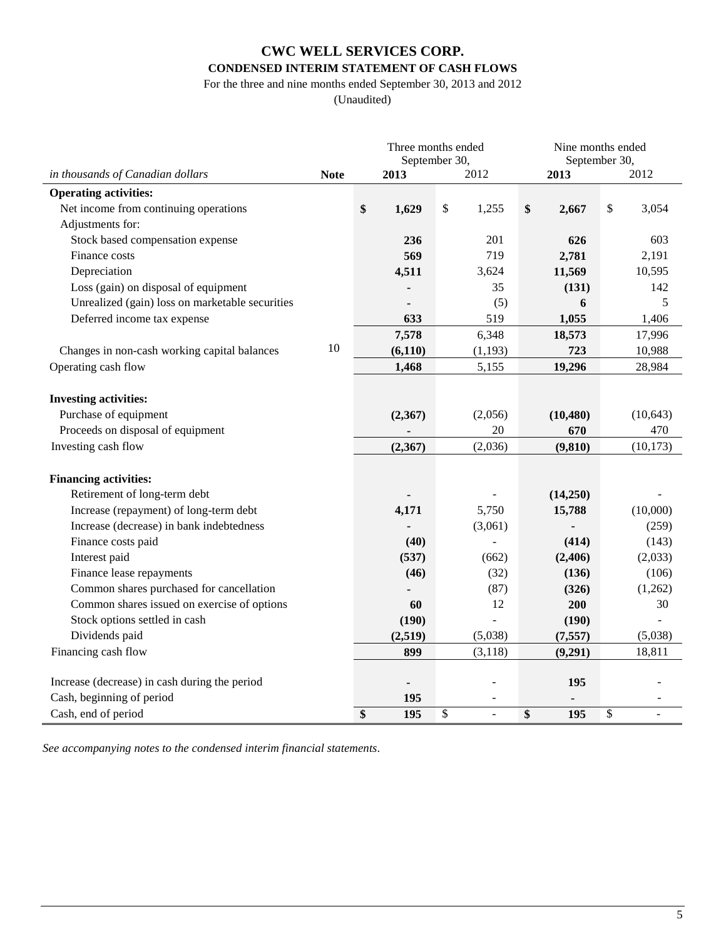## **CWC WELL SERVICES CORP. CONDENSED INTERIM STATEMENT OF CASH FLOWS**

For the three and nine months ended September 30, 2013 and 2012

(Unaudited)

|                                                 |             | Three months ended<br>September 30, |                           |          |    | Nine months ended<br>September 30, |                           |           |
|-------------------------------------------------|-------------|-------------------------------------|---------------------------|----------|----|------------------------------------|---------------------------|-----------|
| in thousands of Canadian dollars                | <b>Note</b> | 2012<br>2013                        |                           |          |    | 2013                               |                           | 2012      |
| <b>Operating activities:</b>                    |             |                                     |                           |          |    |                                    |                           |           |
| Net income from continuing operations           |             | \$<br>1,629                         | $\boldsymbol{\mathsf{S}}$ | 1,255    | \$ | 2,667                              | $\boldsymbol{\mathsf{S}}$ | 3,054     |
| Adjustments for:                                |             |                                     |                           |          |    |                                    |                           |           |
| Stock based compensation expense                |             | 236                                 |                           | 201      |    | 626                                |                           | 603       |
| Finance costs                                   |             | 569                                 |                           | 719      |    | 2,781                              |                           | 2,191     |
| Depreciation                                    |             | 4,511                               |                           | 3,624    |    | 11,569                             |                           | 10,595    |
| Loss (gain) on disposal of equipment            |             |                                     |                           | 35       |    | (131)                              |                           | 142       |
| Unrealized (gain) loss on marketable securities |             |                                     |                           | (5)      |    | 6                                  |                           | 5         |
| Deferred income tax expense                     |             | 633                                 |                           | 519      |    | 1,055                              |                           | 1,406     |
|                                                 |             | 7,578                               |                           | 6,348    |    | 18,573                             |                           | 17,996    |
| Changes in non-cash working capital balances    | 10          | (6, 110)                            |                           | (1,193)  |    | 723                                |                           | 10,988    |
| Operating cash flow                             |             | 1,468                               |                           | 5,155    |    | 19,296                             |                           | 28,984    |
|                                                 |             |                                     |                           |          |    |                                    |                           |           |
| <b>Investing activities:</b>                    |             |                                     |                           |          |    |                                    |                           |           |
| Purchase of equipment                           |             | (2,367)                             |                           | (2,056)  |    | (10, 480)                          |                           | (10, 643) |
| Proceeds on disposal of equipment               |             |                                     |                           | 20       |    | 670                                |                           | 470       |
| Investing cash flow                             |             | (2,367)                             |                           | (2,036)  |    | (9, 810)                           |                           | (10, 173) |
|                                                 |             |                                     |                           |          |    |                                    |                           |           |
| <b>Financing activities:</b>                    |             |                                     |                           |          |    |                                    |                           |           |
| Retirement of long-term debt                    |             |                                     |                           |          |    | (14,250)                           |                           |           |
| Increase (repayment) of long-term debt          |             | 4,171                               |                           | 5,750    |    | 15,788                             |                           | (10,000)  |
| Increase (decrease) in bank indebtedness        |             |                                     |                           | (3,061)  |    |                                    |                           | (259)     |
| Finance costs paid                              |             | (40)                                |                           |          |    | (414)                              |                           | (143)     |
| Interest paid                                   |             | (537)                               |                           | (662)    |    | (2, 406)                           |                           | (2,033)   |
| Finance lease repayments                        |             | (46)                                |                           | (32)     |    | (136)                              |                           | (106)     |
| Common shares purchased for cancellation        |             |                                     |                           | (87)     |    | (326)                              |                           | (1,262)   |
| Common shares issued on exercise of options     |             | 60                                  |                           | 12       |    | 200                                |                           | 30        |
| Stock options settled in cash                   |             | (190)                               |                           | ÷,       |    | (190)                              |                           |           |
| Dividends paid                                  |             | (2,519)                             |                           | (5,038)  |    | (7, 557)                           |                           | (5,038)   |
| Financing cash flow                             |             | 899                                 |                           | (3, 118) |    | (9,291)                            |                           | 18,811    |
|                                                 |             |                                     |                           |          |    |                                    |                           |           |
| Increase (decrease) in cash during the period   |             |                                     |                           |          |    | 195                                |                           |           |
| Cash, beginning of period                       |             | 195                                 |                           |          |    |                                    |                           |           |
| Cash, end of period                             |             | \$<br>195                           | \$                        | L.       | \$ | 195                                | $\$$                      |           |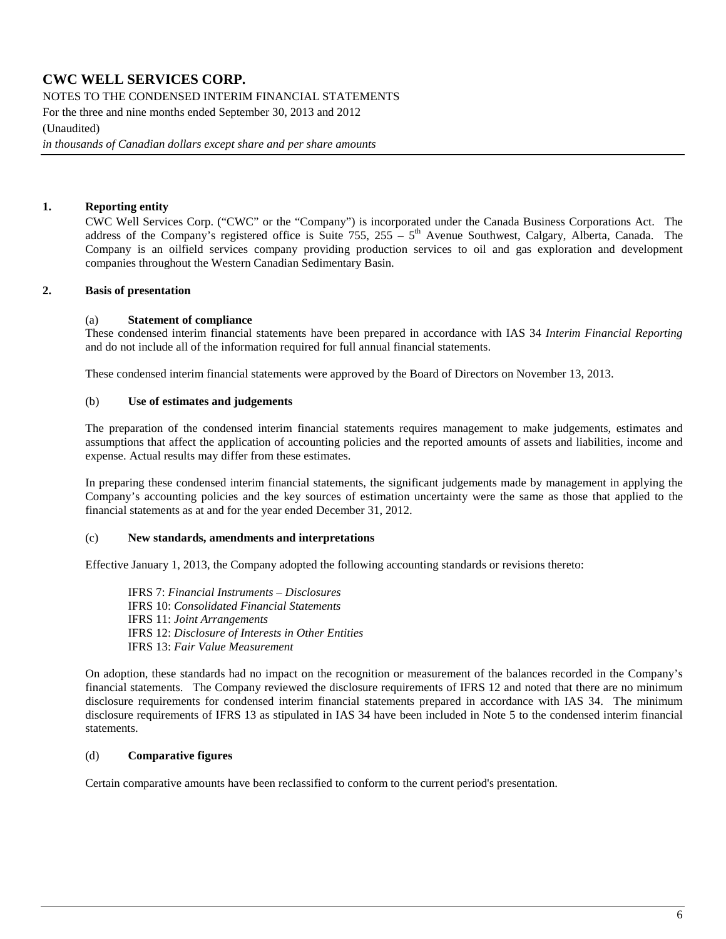NOTES TO THE CONDENSED INTERIM FINANCIAL STATEMENTS

For the three and nine months ended September 30, 2013 and 2012

(Unaudited)

*in thousands of Canadian dollars except share and per share amounts*

#### **1. Reporting entity**

CWC Well Services Corp. ("CWC" or the "Company") is incorporated under the Canada Business Corporations Act. The address of the Company's registered office is Suite 755, 255 –  $5<sup>th</sup>$  Avenue Southwest, Calgary, Alberta, Canada. The Company is an oilfield services company providing production services to oil and gas exploration and development companies throughout the Western Canadian Sedimentary Basin.

#### **2. Basis of presentation**

#### (a) **Statement of compliance**

These condensed interim financial statements have been prepared in accordance with IAS 34 *Interim Financial Reporting*  and do not include all of the information required for full annual financial statements.

These condensed interim financial statements were approved by the Board of Directors on November 13, 2013.

#### (b) **Use of estimates and judgements**

The preparation of the condensed interim financial statements requires management to make judgements, estimates and assumptions that affect the application of accounting policies and the reported amounts of assets and liabilities, income and expense. Actual results may differ from these estimates.

In preparing these condensed interim financial statements, the significant judgements made by management in applying the Company's accounting policies and the key sources of estimation uncertainty were the same as those that applied to the financial statements as at and for the year ended December 31, 2012.

#### (c) **New standards, amendments and interpretations**

Effective January 1, 2013, the Company adopted the following accounting standards or revisions thereto:

IFRS 7: *Financial Instruments – Disclosures* IFRS 10: *Consolidated Financial Statements* IFRS 11: *Joint Arrangements* IFRS 12: *Disclosure of Interests in Other Entities* IFRS 13: *Fair Value Measurement*

On adoption, these standards had no impact on the recognition or measurement of the balances recorded in the Company's financial statements. The Company reviewed the disclosure requirements of IFRS 12 and noted that there are no minimum disclosure requirements for condensed interim financial statements prepared in accordance with IAS 34. The minimum disclosure requirements of IFRS 13 as stipulated in IAS 34 have been included in Note 5 to the condensed interim financial statements.

#### (d) **Comparative figures**

Certain comparative amounts have been reclassified to conform to the current period's presentation.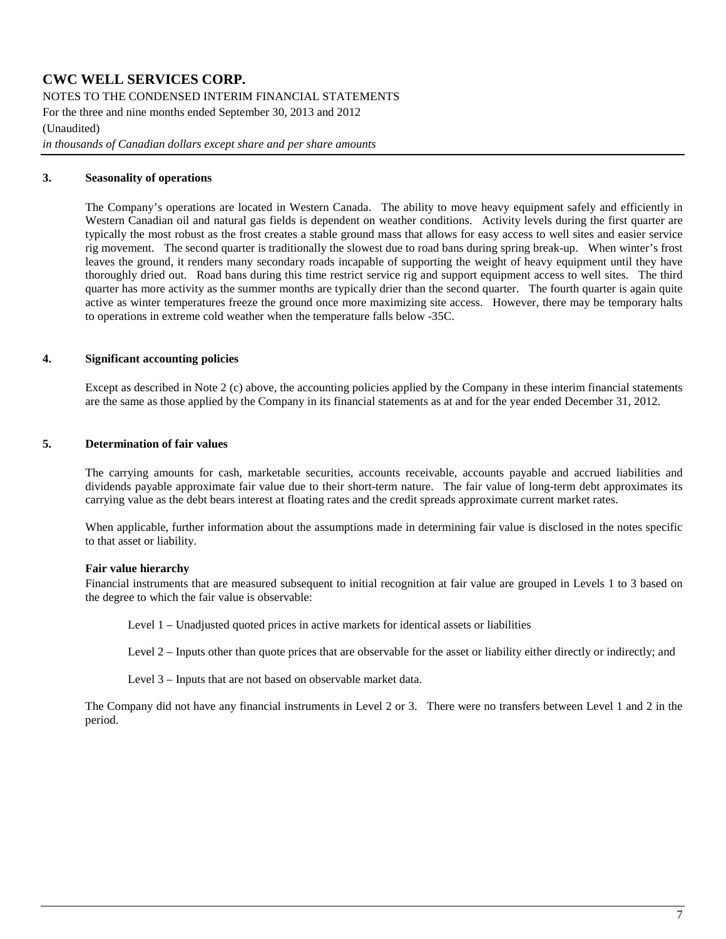NOTES TO THE CONDENSED INTERIM FINANCIAL STATEMENTS

For the three and nine months ended September 30, 2013 and 2012

(Unaudited)

*in thousands of Canadian dollars except share and per share amounts*

#### **3. Seasonality of operations**

The Company's operations are located in Western Canada. The ability to move heavy equipment safely and efficiently in Western Canadian oil and natural gas fields is dependent on weather conditions. Activity levels during the first quarter are typically the most robust as the frost creates a stable ground mass that allows for easy access to well sites and easier service rig movement. The second quarter is traditionally the slowest due to road bans during spring break-up. When winter's frost leaves the ground, it renders many secondary roads incapable of supporting the weight of heavy equipment until they have thoroughly dried out. Road bans during this time restrict service rig and support equipment access to well sites. The third quarter has more activity as the summer months are typically drier than the second quarter. The fourth quarter is again quite active as winter temperatures freeze the ground once more maximizing site access. However, there may be temporary halts to operations in extreme cold weather when the temperature falls below -35C.

#### **4. Significant accounting policies**

Except as described in Note 2 (c) above, the accounting policies applied by the Company in these interim financial statements are the same as those applied by the Company in its financial statements as at and for the year ended December 31, 2012.

#### **5. Determination of fair values**

The carrying amounts for cash, marketable securities, accounts receivable, accounts payable and accrued liabilities and dividends payable approximate fair value due to their short-term nature. The fair value of long-term debt approximates its carrying value as the debt bears interest at floating rates and the credit spreads approximate current market rates.

When applicable, further information about the assumptions made in determining fair value is disclosed in the notes specific to that asset or liability.

#### **Fair value hierarchy**

Financial instruments that are measured subsequent to initial recognition at fair value are grouped in Levels 1 to 3 based on the degree to which the fair value is observable:

Level 1 – Unadjusted quoted prices in active markets for identical assets or liabilities

Level 2 – Inputs other than quote prices that are observable for the asset or liability either directly or indirectly; and

Level 3 – Inputs that are not based on observable market data.

The Company did not have any financial instruments in Level 2 or 3. There were no transfers between Level 1 and 2 in the period.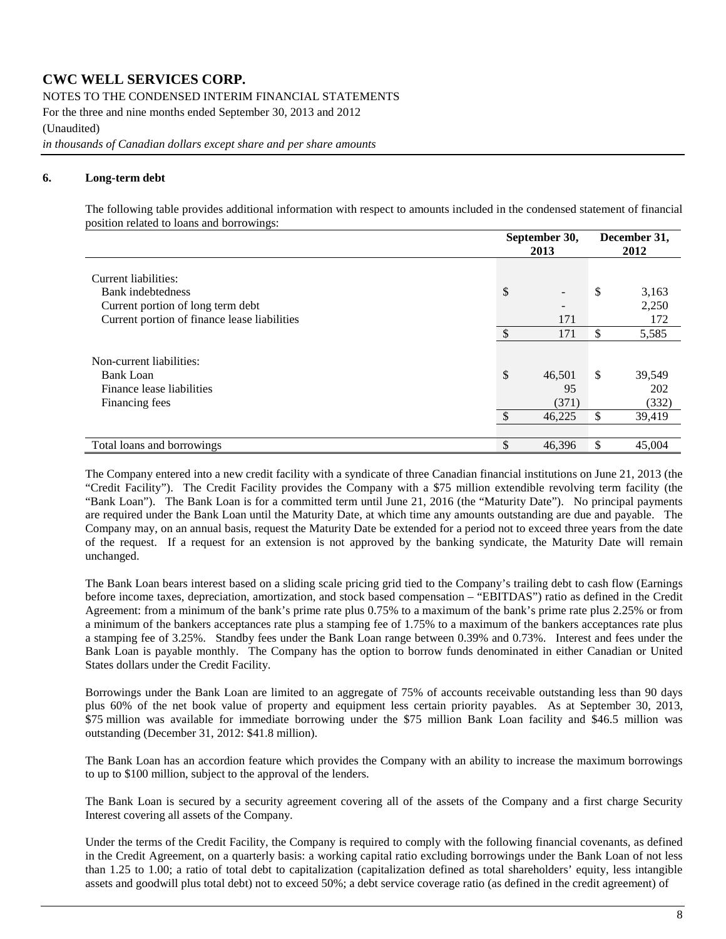NOTES TO THE CONDENSED INTERIM FINANCIAL STATEMENTS

For the three and nine months ended September 30, 2013 and 2012

(Unaudited)

*in thousands of Canadian dollars except share and per share amounts*

#### **6. Long-term debt**

The following table provides additional information with respect to amounts included in the condensed statement of financial position related to loans and borrowings:

|                                                                                             | September 30,<br>2013          | December 31,<br>2012         |
|---------------------------------------------------------------------------------------------|--------------------------------|------------------------------|
| Current liabilities:<br>Bank indebtedness<br>Current portion of long term debt              | \$<br>$\overline{\phantom{a}}$ | \$<br>3,163<br>2,250         |
| Current portion of finance lease liabilities                                                | \$<br>171<br>171               | \$<br>172<br>5,585           |
| Non-current liabilities:<br><b>Bank Loan</b><br>Finance lease liabilities<br>Financing fees | \$<br>46,501<br>95<br>(371)    | \$<br>39,549<br>202<br>(332) |
|                                                                                             | \$<br>46,225                   | \$<br>39,419                 |
| Total loans and borrowings                                                                  | \$<br>46,396                   | \$<br>45,004                 |

The Company entered into a new credit facility with a syndicate of three Canadian financial institutions on June 21, 2013 (the "Credit Facility"). The Credit Facility provides the Company with a \$75 million extendible revolving term facility (the "Bank Loan"). The Bank Loan is for a committed term until June 21, 2016 (the "Maturity Date"). No principal payments are required under the Bank Loan until the Maturity Date, at which time any amounts outstanding are due and payable. The Company may, on an annual basis, request the Maturity Date be extended for a period not to exceed three years from the date of the request. If a request for an extension is not approved by the banking syndicate, the Maturity Date will remain unchanged.

The Bank Loan bears interest based on a sliding scale pricing grid tied to the Company's trailing debt to cash flow (Earnings before income taxes, depreciation, amortization, and stock based compensation – "EBITDAS") ratio as defined in the Credit Agreement: from a minimum of the bank's prime rate plus 0.75% to a maximum of the bank's prime rate plus 2.25% or from a minimum of the bankers acceptances rate plus a stamping fee of 1.75% to a maximum of the bankers acceptances rate plus a stamping fee of 3.25%. Standby fees under the Bank Loan range between 0.39% and 0.73%. Interest and fees under the Bank Loan is payable monthly. The Company has the option to borrow funds denominated in either Canadian or United States dollars under the Credit Facility.

Borrowings under the Bank Loan are limited to an aggregate of 75% of accounts receivable outstanding less than 90 days plus 60% of the net book value of property and equipment less certain priority payables. As at September 30, 2013, \$75 million was available for immediate borrowing under the \$75 million Bank Loan facility and \$46.5 million was outstanding (December 31, 2012: \$41.8 million).

The Bank Loan has an accordion feature which provides the Company with an ability to increase the maximum borrowings to up to \$100 million, subject to the approval of the lenders.

The Bank Loan is secured by a security agreement covering all of the assets of the Company and a first charge Security Interest covering all assets of the Company.

Under the terms of the Credit Facility, the Company is required to comply with the following financial covenants, as defined in the Credit Agreement, on a quarterly basis: a working capital ratio excluding borrowings under the Bank Loan of not less than 1.25 to 1.00; a ratio of total debt to capitalization (capitalization defined as total shareholders' equity, less intangible assets and goodwill plus total debt) not to exceed 50%; a debt service coverage ratio (as defined in the credit agreement) of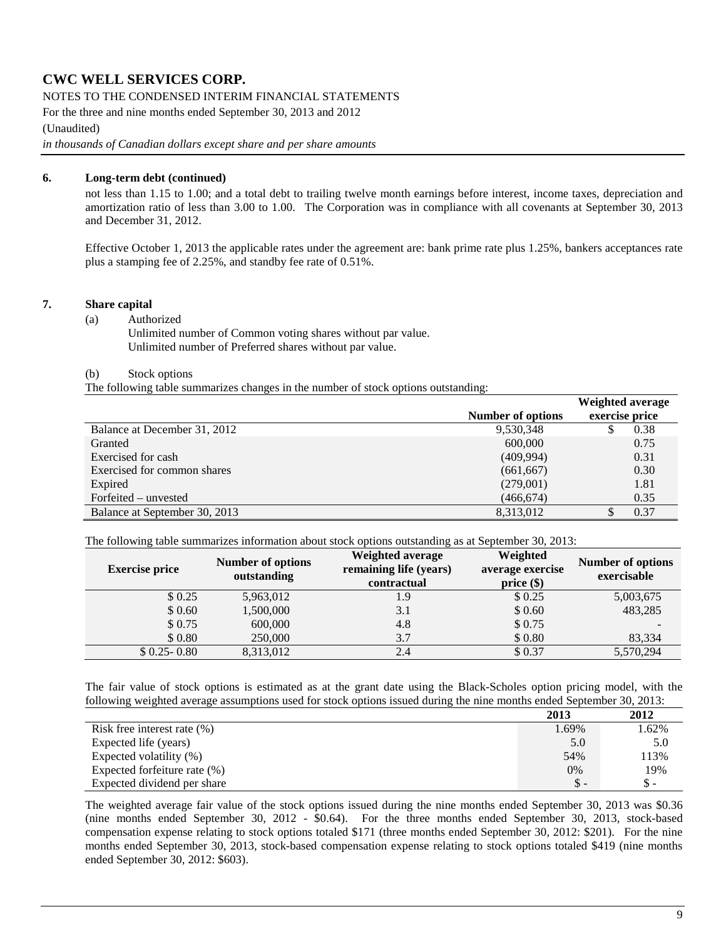#### NOTES TO THE CONDENSED INTERIM FINANCIAL STATEMENTS

For the three and nine months ended September 30, 2013 and 2012

(Unaudited)

*in thousands of Canadian dollars except share and per share amounts*

#### **6. Long-term debt (continued)**

not less than 1.15 to 1.00; and a total debt to trailing twelve month earnings before interest, income taxes, depreciation and amortization ratio of less than 3.00 to 1.00. The Corporation was in compliance with all covenants at September 30, 2013 and December 31, 2012.

<span id="page-8-0"></span>Effective October 1, 2013 the applicable rates under the agreement are: bank prime rate plus 1.25%, bankers acceptances rate plus a stamping fee of 2.25%, and standby fee rate of 0.51%.

#### **7. Share capital**

#### (a) Authorized

Unlimited number of Common voting shares without par value. Unlimited number of Preferred shares without par value.

#### (b) Stock options

The following table summarizes changes in the number of stock options outstanding:

|                               |                   | Weighted average |
|-------------------------------|-------------------|------------------|
|                               | Number of options | exercise price   |
| Balance at December 31, 2012  | 9,530,348         | 0.38<br>S        |
| Granted                       | 600,000           | 0.75             |
| Exercised for cash            | (409, 994)        | 0.31             |
| Exercised for common shares   | (661, 667)        | 0.30             |
| Expired                       | (279,001)         | 1.81             |
| Forfeited – unvested          | (466, 674)        | 0.35             |
| Balance at September 30, 2013 | 8,313,012         | 0.37             |

The following table summarizes information about stock options outstanding as at September 30, 2013:

| <b>Exercise price</b> | Number of options<br>outstanding | Weighted average<br>remaining life (years)<br>contractual | Weighted<br>average exercise<br>$price(\$))$ | Number of options<br>exercisable |
|-----------------------|----------------------------------|-----------------------------------------------------------|----------------------------------------------|----------------------------------|
| \$0.25                | 5,963,012                        | 1.9                                                       | \$0.25                                       | 5,003,675                        |
| \$0.60                | 1,500,000                        | 3.1                                                       | \$0.60                                       | 483,285                          |
| \$ 0.75               | 600,000                          | 4.8                                                       | \$0.75                                       |                                  |
| \$0.80                | 250,000                          | 3.7                                                       | \$0.80                                       | 83,334                           |
| $$0.25 - 0.80$        | 8,313,012                        | 2.4                                                       | \$0.37                                       | 5,570,294                        |

The fair value of stock options is estimated as at the grant date using the Black-Scholes option pricing model, with the following weighted average assumptions used for stock options issued during the nine months ended September 30, 2013:

|                                 | 2013  | 2012  |
|---------------------------------|-------|-------|
| Risk free interest rate $(\% )$ | 1.69% | 1.62% |
| Expected life (years)           | 5.0   | 5.0   |
| Expected volatility (%)         | 54%   | 113%  |
| Expected forfeiture rate (%)    | $0\%$ | 19%   |
| Expected dividend per share     | $S -$ | \$ -  |

The weighted average fair value of the stock options issued during the nine months ended September 30, 2013 was \$0.36 (nine months ended September 30, 2012 - \$0.64). For the three months ended September 30, 2013, stock-based compensation expense relating to stock options totaled \$171 (three months ended September 30, 2012: \$201). For the nine months ended September 30, 2013, stock-based compensation expense relating to stock options totaled \$419 (nine months ended September 30, 2012: \$603).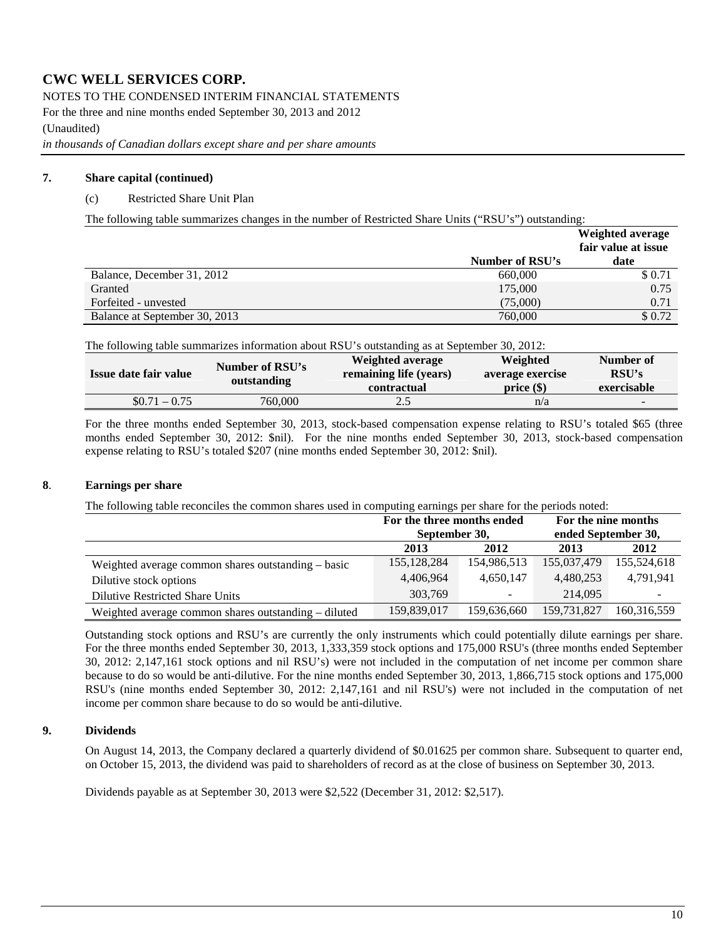#### NOTES TO THE CONDENSED INTERIM FINANCIAL STATEMENTS

For the three and nine months ended September 30, 2013 and 2012

(Unaudited)

*in thousands of Canadian dollars except share and per share amounts*

#### **7. [Share capital](#page-8-0) (continued)**

#### (c) Restricted Share Unit Plan

The following table summarizes changes in the number of Restricted Share Units ("RSU's") outstanding:

|                               |                 | Weighted average<br>fair value at issue |
|-------------------------------|-----------------|-----------------------------------------|
|                               | Number of RSU's | date                                    |
| Balance, December 31, 2012    | 660,000         | \$ 0.71                                 |
| Granted                       | 175,000         | 0.75                                    |
| Forfeited - unvested          | (75,000)        | 0.71                                    |
| Balance at September 30, 2013 | 760,000         | \$0.72                                  |

The following table summarizes information about RSU's outstanding as at September 30, 2012:

| Issue date fair value | Number of RSU's<br>outstanding | Weighted average<br>remaining life (years)<br>contractual | Weighted<br>average exercise<br>$price(\$))$ | Number of<br>RSU's<br>exercisable |
|-----------------------|--------------------------------|-----------------------------------------------------------|----------------------------------------------|-----------------------------------|
| $$0.71 - 0.75$        | 760,000                        | 2.5                                                       | n/a                                          | $\overline{\phantom{0}}$          |

For the three months ended September 30, 2013, stock-based compensation expense relating to RSU's totaled \$65 (three months ended September 30, 2012: \$nil). For the nine months ended September 30, 2013, stock-based compensation expense relating to RSU's totaled \$207 (nine months ended September 30, 2012: \$nil).

#### **8**. **Earnings per share**

The following table reconciles the common shares used in computing earnings per share for the periods noted:

|                                                      | For the three months ended |                          | For the nine months |             |  |
|------------------------------------------------------|----------------------------|--------------------------|---------------------|-------------|--|
|                                                      | September 30,              |                          | ended September 30, |             |  |
|                                                      | 2013                       | 2012                     | 2013                | 2012        |  |
| Weighted average common shares outstanding – basic   | 155, 128, 284              | 154,986,513              | 155,037,479         | 155,524,618 |  |
| Dilutive stock options                               | 4,406,964                  | 4,650,147                | 4.480.253           | 4,791,941   |  |
| <b>Dilutive Restricted Share Units</b>               | 303,769                    | $\overline{\phantom{0}}$ | 214,095             |             |  |
| Weighted average common shares outstanding – diluted | 159,839,017                | 159,636,660              | 159,731,827         | 160,316,559 |  |

Outstanding stock options and RSU's are currently the only instruments which could potentially dilute earnings per share. For the three months ended September 30, 2013, 1,333,359 stock options and 175,000 RSU's (three months ended September 30, 2012: 2,147,161 stock options and nil RSU's) were not included in the computation of net income per common share because to do so would be anti-dilutive. For the nine months ended September 30, 2013, 1,866,715 stock options and 175,000 RSU's (nine months ended September 30, 2012: 2,147,161 and nil RSU's) were not included in the computation of net income per common share because to do so would be anti-dilutive.

#### **9. Dividends**

On August 14, 2013, the Company declared a quarterly dividend of \$0.01625 per common share. Subsequent to quarter end, on October 15, 2013, the dividend was paid to shareholders of record as at the close of business on September 30, 2013.

Dividends payable as at September 30, 2013 were \$2,522 (December 31, 2012: \$2,517).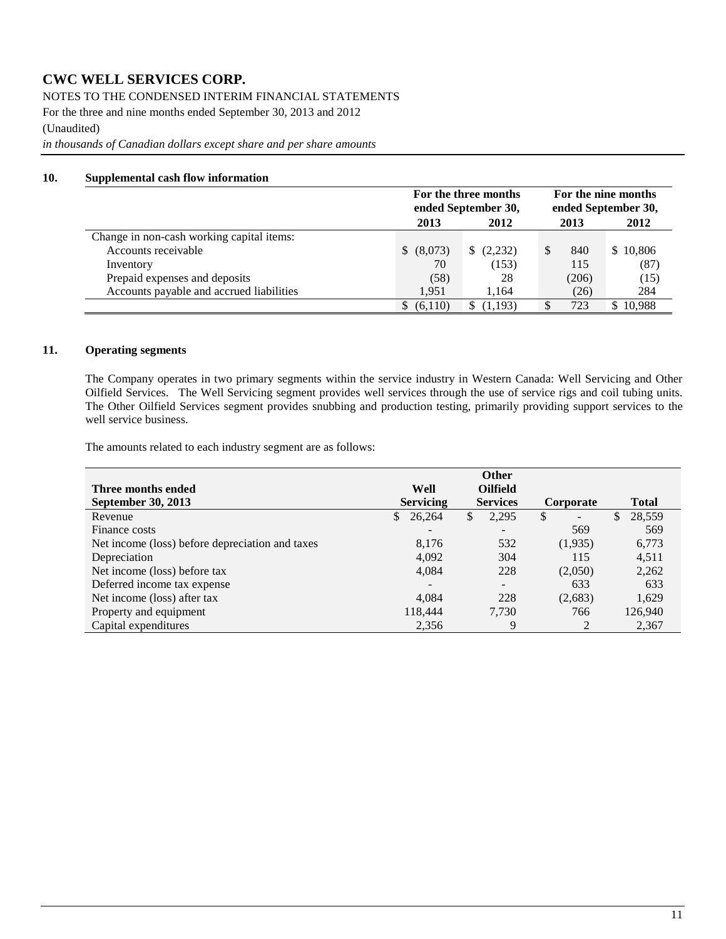NOTES TO THE CONDENSED INTERIM FINANCIAL STATEMENTS

For the three and nine months ended September 30, 2013 and 2012

(Unaudited)

*in thousands of Canadian dollars except share and per share amounts*

#### **10. Supplemental cash flow information**

|                                           |               | For the three months<br>ended September 30, | ended September 30, | For the nine months |
|-------------------------------------------|---------------|---------------------------------------------|---------------------|---------------------|
|                                           | 2013          | 2012                                        | 2013                | 2012                |
| Change in non-cash working capital items: |               |                                             |                     |                     |
| Accounts receivable                       | (8,073)<br>S. | (2,232)                                     | 840                 | \$10,806            |
| Inventory                                 | 70            | (153)                                       | 115                 | (87)                |
| Prepaid expenses and deposits             | (58)          | 28                                          | (206)               | (15)                |
| Accounts payable and accrued liabilities  | 1.951         | 1.164                                       | (26)                | 284                 |
|                                           | (6.110)       | (1.193)                                     | 723                 | 10.988              |

#### **11. Operating segments**

The Company operates in two primary segments within the service industry in Western Canada: Well Servicing and Other Oilfield Services. The Well Servicing segment provides well services through the use of service rigs and coil tubing units. The Other Oilfield Services segment provides snubbing and production testing, primarily providing support services to the well service business.

The amounts related to each industry segment are as follows:

|                                                 |                          | <b>Other</b>             |              |                        |
|-------------------------------------------------|--------------------------|--------------------------|--------------|------------------------|
| Three months ended                              | Well                     | <b>Oilfield</b>          |              |                        |
| <b>September 30, 2013</b>                       | <b>Servicing</b>         | <b>Services</b>          | Corporate    | <b>Total</b>           |
| Revenue                                         | 26,264<br>$\mathbb{S}$   | \$<br>2,295              | $\mathbb{S}$ | 28,559<br>$\mathbb{S}$ |
| Finance costs                                   | $\overline{\phantom{a}}$ | $\overline{\phantom{a}}$ | 569          | 569                    |
| Net income (loss) before depreciation and taxes | 8,176                    | 532                      | (1,935)      | 6,773                  |
| Depreciation                                    | 4,092                    | 304                      | 115          | 4,511                  |
| Net income (loss) before tax                    | 4,084                    | 228                      | (2,050)      | 2,262                  |
| Deferred income tax expense                     | $\overline{\phantom{0}}$ | $\overline{\phantom{a}}$ | 633          | 633                    |
| Net income (loss) after tax                     | 4.084                    | 228                      | (2,683)      | 1,629                  |
| Property and equipment                          | 118,444                  | 7.730                    | 766          | 126,940                |
| Capital expenditures                            | 2,356                    | 9                        |              | 2,367                  |